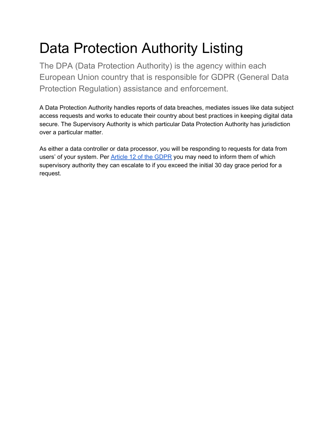# Data Protection Authority Listing

The DPA (Data Protection Authority) is the agency within each European Union country that is responsible for GDPR (General Data Protection Regulation) assistance and enforcement.

A Data Protection Authority handles reports of data breaches, mediates issues like data subject access requests and works to educate their country about best practices in keeping digital data secure. The Supervisory Authority is which particular Data Protection Authority has jurisdiction over a particular matter.

As either a data controller or data processor, you will be responding to requests for data from users' of your system. Per Article 12 of the [GDPR](https://blog.varonis.com/gdpr-requirements-list-in-plain-english/#article12) you may need to inform them of which supervisory authority they can escalate to if you exceed the initial 30 day grace period for a request.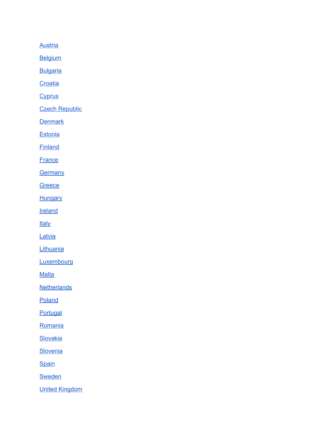**[Austria](#page-3-0)** 

**[Belgium](#page-3-1)** 

**[Bulgaria](#page-3-2)** 

**[Croatia](#page-3-3)** 

**[Cyprus](#page-4-0)** 

**Czech [Republic](#page-4-1)** 

**[Denmark](#page-4-2)** 

**[Estonia](#page-4-3)** 

**[Finland](#page-5-0)** 

**[France](#page-5-1)** 

**[Germany](#page-5-2)** 

**[Greece](#page-6-0)** 

**[Hungary](#page-6-1)** 

**[Ireland](#page-6-2)** 

**[Italy](#page-6-3)** 

**[Latvia](#page-7-0)** 

**[Lithuania](#page-7-1)** 

**[Luxembourg](#page-7-2)** 

**[Malta](#page-7-3)** 

**[Netherlands](#page-8-0)** 

[Poland](#page-8-1)

**[Portugal](#page-8-2)** 

[Romania](#page-8-3)

**[Slovakia](#page-9-0)** 

**[Slovenia](#page-9-1)** 

**[Spain](#page-9-2)** 

**[Sweden](#page-10-0)** 

United [Kingdom](#page-10-1)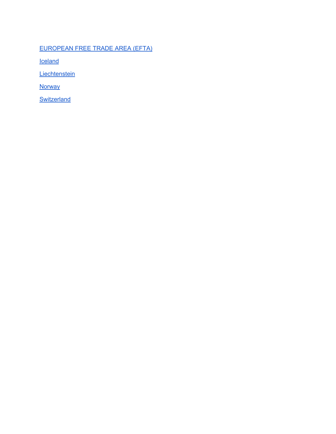#### [EUROPEAN](#page-10-2) FREE TRADE AREA (EFTA)

**[Iceland](#page-10-3)** 

**[Liechtenstein](#page-10-4)** 

**[Norway](#page-11-0)** 

**[Switzerland](#page-11-1)**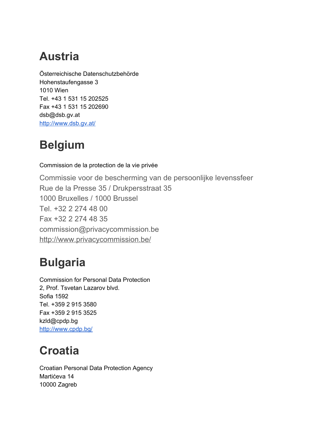## <span id="page-3-0"></span>**Austria**

Österreichische Datenschutzbehörde Hohenstaufengasse 3 1010 Wien Tel. +43 1 531 15 202525 Fax +43 1 531 15 202690 dsb@dsb.gv.at <http://www.dsb.gv.at/>

# <span id="page-3-1"></span>**Belgium**

Commission de la protection de la vie privée

Commissie voor de bescherming van de persoonlijke levenssfeer Rue de la Presse 35 / Drukpersstraat 35 1000 Bruxelles / 1000 Brussel Tel. +32 2 274 48 00 Fax +32 2 274 48 35 commission@privacycommission.be <http://www.privacycommission.be/>

# <span id="page-3-2"></span>**Bulgaria**

Commission for Personal Data Protection 2, Prof. Tsvetan Lazarov blvd. Sofia 1592 Tel. +359 2 915 3580 Fax +359 2 915 3525 kzld@cpdp.bg <http://www.cpdp.bg/>

# <span id="page-3-3"></span>**Croatia**

Croatian Personal Data Protection Agency Martićeva 14 10000 Zagreb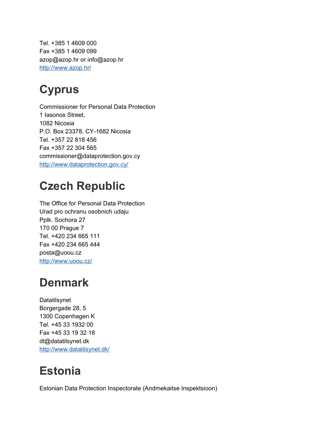Tel. +385 1 4609 000 Fax +385 1 4609 099 azop@azop.hr or info@azop.hr <http://www.azop.hr/>

# <span id="page-4-0"></span>**Cyprus**

Commissioner for Personal Data Protection 1 Iasonos Street, 1082 Nicosia P.O. Box 23378, CY-1682 Nicosia Tel. +357 22 818 456 Fax +357 22 304 565 commissioner@dataprotection.gov.cy <http://www.dataprotection.gov.cy/>

## <span id="page-4-1"></span>**Czech Republic**

The Office for Personal Data Protection Urad pro ochranu osobnich udaju Pplk. Sochora 27 170 00 Prague 7 Tel. +420 234 665 111 Fax +420 234 665 444 posta@uoou.cz <http://www.uoou.cz/>

### <span id="page-4-2"></span>**Denmark**

Datatilsynet Borgergade 28, 5 1300 Copenhagen K Tel. +45 33 1932 00 Fax +45 33 19 32 18 dt@datatilsynet.dk <http://www.datatilsynet.dk/>

# <span id="page-4-3"></span>**Estonia**

Estonian Data Protection Inspectorate (Andmekaitse Inspektsioon)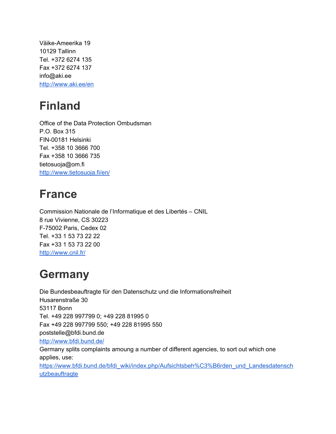Väike-Ameerika 19 10129 Tallinn Tel. +372 6274 135 Fax +372 6274 137 info@aki.ee <http://www.aki.ee/en>

#### <span id="page-5-0"></span>**Finland**

Office of the Data Protection Ombudsman P.O. Box 315 FIN-00181 Helsinki Tel. +358 10 3666 700 Fax +358 10 3666 735 tietosuoja@om.fi <http://www.tietosuoja.fi/en/>

#### <span id="page-5-1"></span>**France**

Commission Nationale de l'Informatique et des Libertés – CNIL 8 rue Vivienne, CS 30223 F-75002 Paris, Cedex 02 Tel. +33 1 53 73 22 22 Fax +33 1 53 73 22 00 <http://www.cnil.fr/>

# <span id="page-5-2"></span>**Germany**

Die Bundesbeauftragte für den Datenschutz und die Informationsfreiheit Husarenstraße 30 53117 Bonn Tel. +49 228 997799 0; +49 228 81995 0 Fax +49 228 997799 550; +49 228 81995 550 poststelle@bfdi.bund.de <http://www.bfdi.bund.de/> Germany splits complaints amoung a number of different agencies, to sort out which one applies, use: [https://www.bfdi.bund.de/bfdi\\_wiki/index.php/Aufsichtsbeh%C3%B6rden\\_und\\_Landesdatensch](https://www.bfdi.bund.de/bfdi_wiki/index.php/Aufsichtsbeh%C3%B6rden_und_Landesdatenschutzbeauftragte) [utzbeauftragte](https://www.bfdi.bund.de/bfdi_wiki/index.php/Aufsichtsbeh%C3%B6rden_und_Landesdatenschutzbeauftragte)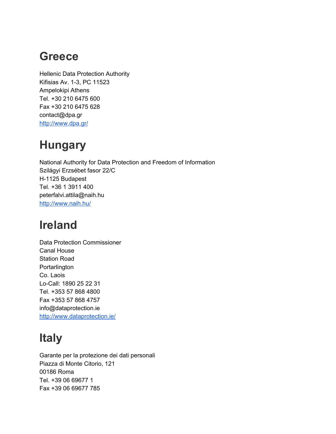#### <span id="page-6-0"></span>**Greece**

Hellenic Data Protection Authority Kifisias Av. 1-3, PC 11523 Ampelokipi Athens Tel. +30 210 6475 600 Fax +30 210 6475 628 contact@dpa.gr <http://www.dpa.gr/>

### <span id="page-6-1"></span>**Hungary**

National Authority for Data Protection and Freedom of Information Szilágyi Erzsébet fasor 22/C H-1125 Budapest Tel. +36 1 3911 400 peterfalvi.attila@naih.hu <http://www.naih.hu/>

#### <span id="page-6-2"></span>**Ireland**

Data Protection Commissioner Canal House Station Road **Portarlington** Co. Laois Lo-Call: 1890 25 22 31 Tel. +353 57 868 4800 Fax +353 57 868 4757 info@dataprotection.ie <http://www.dataprotection.ie/>

# <span id="page-6-3"></span>**Italy**

Garante per la protezione dei dati personali Piazza di Monte Citorio, 121 00186 Roma Tel. +39 06 69677 1 Fax +39 06 69677 785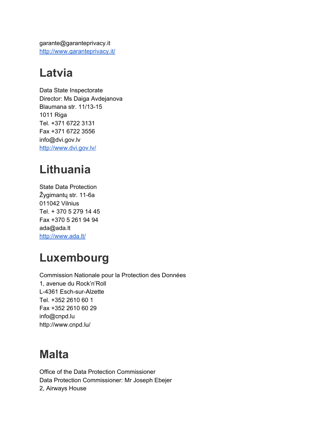garante@garanteprivacy.it <http://www.garanteprivacy.it/>

# <span id="page-7-0"></span>**Latvia**

Data State Inspectorate Director: Ms Daiga Avdejanova Blaumana str. 11/13-15 1011 Riga Tel. +371 6722 3131 Fax +371 6722 3556 info@dvi.gov.lv <http://www.dvi.gov.lv/>

# <span id="page-7-1"></span>**Lithuania**

State Data Protection Žygimantų str. 11-6a 011042 Vilnius Tel. + 370 5 279 14 45 Fax +370 5 261 94 94 ada@ada.lt <http://www.ada.lt/>

### <span id="page-7-2"></span>**Luxembourg**

Commission Nationale pour la Protection des Données 1, avenue du Rock'n'Roll L-4361 Esch-sur-Alzette Tel. +352 2610 60 1 Fax +352 2610 60 29 info@cnpd.lu http://www.cnpd.lu/

#### <span id="page-7-3"></span>**Malta**

Office of the Data Protection Commissioner Data Protection Commissioner: Mr Joseph Ebejer 2, Airways House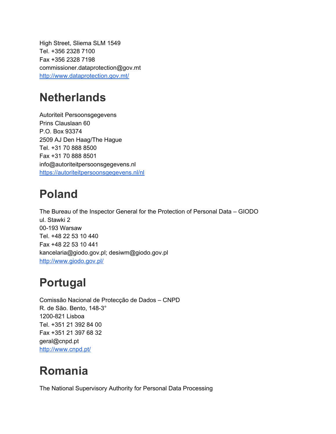High Street, Sliema SLM 1549 Tel. +356 2328 7100 Fax +356 2328 7198 commissioner.dataprotection@gov.mt <http://www.dataprotection.gov.mt/>

#### <span id="page-8-0"></span>**Netherlands**

Autoriteit Persoonsgegevens Prins Clauslaan 60 P.O. Box 93374 2509 AJ Den Haag/The Hague Tel. +31 70 888 8500 Fax +31 70 888 8501 info@autoriteitpersoonsgegevens.nl <https://autoriteitpersoonsgegevens.nl/nl>

#### <span id="page-8-1"></span>**Poland**

The Bureau of the Inspector General for the Protection of Personal Data – GIODO ul. Stawki 2 00-193 Warsaw Tel. +48 22 53 10 440 Fax +48 22 53 10 441 kancelaria@giodo.gov.pl; desiwm@giodo.gov.pl <http://www.giodo.gov.pl/>

### <span id="page-8-2"></span>**Portugal**

Comissão Nacional de Protecção de Dados – CNPD R. de São. Bento, 148-3° 1200-821 Lisboa Tel. +351 21 392 84 00 Fax +351 21 397 68 32 geral@cnpd.pt <http://www.cnpd.pt/>

# <span id="page-8-3"></span>**Romania**

The National Supervisory Authority for Personal Data Processing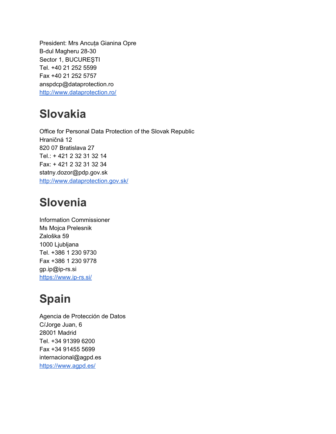President: Mrs Ancuţa Gianina Opre B-dul Magheru 28-30 Sector 1, BUCUREŞTI Tel. +40 21 252 5599 Fax +40 21 252 5757 anspdcp@dataprotection.ro <http://www.dataprotection.ro/>

#### <span id="page-9-0"></span>**Slovakia**

Office for Personal Data Protection of the Slovak Republic Hraničná 12 820 07 Bratislava 27 Tel.: + 421 2 32 31 32 14 Fax: + 421 2 32 31 32 34 statny.dozor@pdp.gov.sk <http://www.dataprotection.gov.sk/>

#### <span id="page-9-1"></span>**Slovenia**

Information Commissioner Ms Mojca Prelesnik Zaloška 59 1000 Ljubljana Tel. +386 1 230 9730 Fax +386 1 230 9778 gp.ip@ip-rs.si <https://www.ip-rs.si/>

# <span id="page-9-2"></span>**Spain**

Agencia de Protección de Datos C/Jorge Juan, 6 28001 Madrid Tel. +34 91399 6200 Fax +34 91455 5699 internacional@agpd.es <https://www.agpd.es/>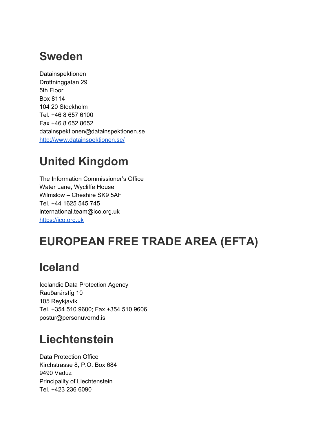#### <span id="page-10-0"></span>**Sweden**

Datainspektionen Drottninggatan 29 5th Floor Box 8114 104 20 Stockholm Tel. +46 8 657 6100 Fax +46 8 652 8652 datainspektionen@datainspektionen.se <http://www.datainspektionen.se/>

# <span id="page-10-1"></span>**United Kingdom**

The Information Commissioner's Office Water Lane, Wycliffe House Wilmslow – Cheshire SK9 5AF Tel. +44 1625 545 745 international.team@ico.org.uk [https://ico.org.uk](https://ico.org.uk/)

# <span id="page-10-2"></span>**EUROPEAN FREE TRADE AREA (EFTA)**

#### <span id="page-10-3"></span>**Iceland**

Icelandic Data Protection Agency Rauðarárstíg 10 105 Reykjavík Tel. +354 510 9600; Fax +354 510 9606 postur@personuvernd.is

#### <span id="page-10-4"></span>**Liechtenstein**

Data Protection Office Kirchstrasse 8, P.O. Box 684 9490 Vaduz Principality of Liechtenstein Tel. +423 236 6090